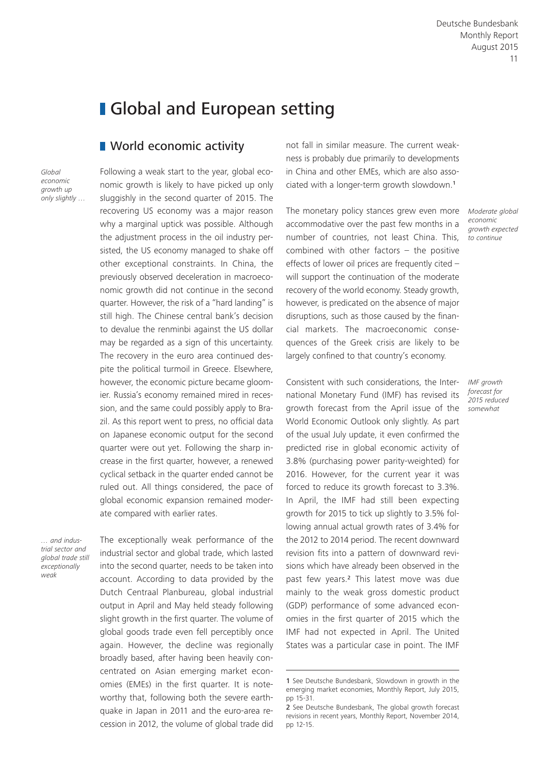# **I** Global and European setting

## **Norld economic activity**

*Global economic growth up only slightly …* Following a weak start to the year, global economic growth is likely to have picked up only sluggishly in the second quarter of 2015. The recovering US economy was a major reason why a marginal uptick was possible. Although the adjustment process in the oil industry persisted, the US economy managed to shake off other exceptional constraints. In China, the previously observed deceleration in macroeconomic growth did not continue in the second quarter. However, the risk of a "hard landing" is still high. The Chinese central bank's decision to devalue the renminbi against the US dollar may be regarded as a sign of this uncertainty. The recovery in the euro area continued despite the political turmoil in Greece. Elsewhere, however, the economic picture became gloomier. Russia's economy remained mired in recession, and the same could possibly apply to Brazil. As this report went to press, no official data on Japanese economic output for the second quarter were out yet. Following the sharp increase in the first quarter, however, a renewed cyclical setback in the quarter ended cannot be ruled out. All things considered, the pace of global economic expansion remained moderate compared with earlier rates.

*… and industrial sector and global trade still exceptionally weak*

The exceptionally weak performance of the industrial sector and global trade, which lasted into the second quarter, needs to be taken into account. According to data provided by the Dutch Centraal Planbureau, global industrial output in April and May held steady following slight growth in the first quarter. The volume of global goods trade even fell perceptibly once again. However, the decline was regionally broadly based, after having been heavily concentrated on Asian emerging market economies (EMEs) in the first quarter. It is noteworthy that, following both the severe earthquake in Japan in 2011 and the euro-area recession in 2012, the volume of global trade did not fall in similar measure. The current weakness is probably due primarily to developments in China and other EMEs, which are also associated with a longer-term growth slowdown.<sup>1</sup>

The monetary policy stances grew even more accommodative over the past few months in a number of countries, not least China. This, combined with other factors – the positive effects of lower oil prices are frequently cited – will support the continuation of the moderate recovery of the world economy. Steady growth, however, is predicated on the absence of major disruptions, such as those caused by the financial markets. The macroeconomic consequences of the Greek crisis are likely to be largely confined to that country's economy.

Consistent with such considerations, the International Monetary Fund (IMF) has revised its growth forecast from the April issue of the World Economic Outlook only slightly. As part of the usual July update, it even confirmed the predicted rise in global economic activity of 3.8% (purchasing power parity-weighted) for 2016. However, for the current year it was forced to reduce its growth forecast to 3.3%. In April, the IMF had still been expecting growth for 2015 to tick up slightly to 3.5% following annual actual growth rates of 3.4% for the 2012 to 2014 period. The recent downward revision fits into a pattern of downward revisions which have already been observed in the past few years.2 This latest move was due mainly to the weak gross domestic product (GDP) performance of some advanced economies in the first quarter of 2015 which the IMF had not expected in April. The United States was a particular case in point. The IMF

*Moderate global economic growth expected to continue*

*IMF growth forecast for 2015 reduced somewhat*

<sup>1</sup> See Deutsche Bundesbank, Slowdown in growth in the emerging market economies, Monthly Report, July 2015, pp 15-31.

<sup>2</sup> See Deutsche Bundesbank, The global growth forecast revisions in recent years, Monthly Report, November 2014, pp 12-15.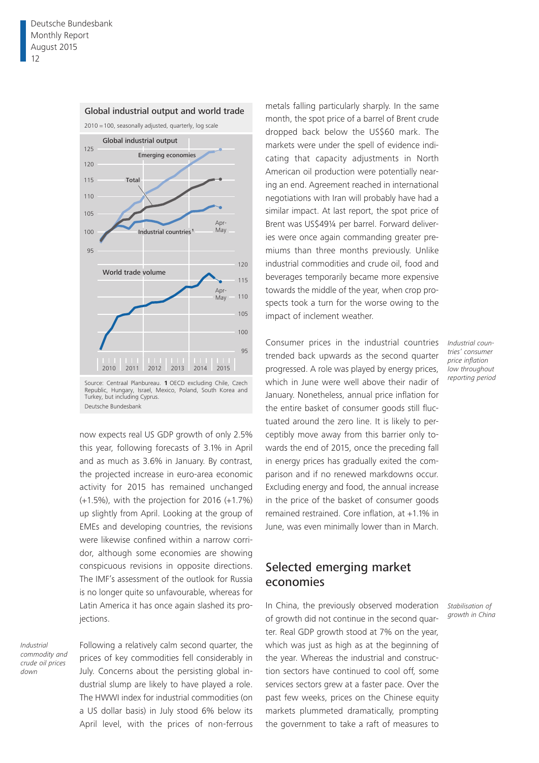

#### Global industrial output and world trade

Source: Centraal Planbureau. **1** OECD excluding Chile, Czech Republic, Hungary, Israel, Mexico, Poland, South Korea and Turkey, but including Cyprus. Deutsche Bundesbank

now expects real US GDP growth of only 2.5% this year, following forecasts of 3.1% in April and as much as 3.6% in January. By contrast, the projected increase in euro-area economic activity for 2015 has remained unchanged (+1.5%), with the projection for 2016 (+1.7%) up slightly from April. Looking at the group of EMEs and developing countries, the revisions were likewise confined within a narrow corridor, although some economies are showing conspicuous revisions in opposite directions. The IMF's assessment of the outlook for Russia is no longer quite so unfavourable, whereas for Latin America it has once again slashed its projections.

*Industrial commodity and crude oil prices down*

Following a relatively calm second quarter, the prices of key commodities fell considerably in July. Concerns about the persisting global industrial slump are likely to have played a role. The HWWI index for industrial commodities (on a US dollar basis) in July stood 6% below its April level, with the prices of non-ferrous

metals falling particularly sharply. In the same month, the spot price of a barrel of Brent crude dropped back below the US\$60 mark. The markets were under the spell of evidence indicating that capacity adjustments in North American oil production were potentially nearing an end. Agreement reached in international negotiations with Iran will probably have had a similar impact. At last report, the spot price of Brent was US\$49¼ per barrel. Forward deliveries were once again commanding greater premiums than three months previously. Unlike industrial commodities and crude oil, food and beverages temporarily became more expensive towards the middle of the year, when crop prospects took a turn for the worse owing to the impact of inclement weather.

Consumer prices in the industrial countries trended back upwards as the second quarter progressed. A role was played by energy prices, which in June were well above their nadir of January. Nonetheless, annual price inflation for the entire basket of consumer goods still fluctuated around the zero line. It is likely to perceptibly move away from this barrier only towards the end of 2015, once the preceding fall in energy prices has gradually exited the comparison and if no renewed markdowns occur. Excluding energy and food, the annual increase in the price of the basket of consumer goods remained restrained. Core inflation, at +1.1% in June, was even minimally lower than in March.

## Selected emerging market economies

In China, the previously observed moderation of growth did not continue in the second quarter. Real GDP growth stood at 7% on the year, which was just as high as at the beginning of the year. Whereas the industrial and construction sectors have continued to cool off, some services sectors grew at a faster pace. Over the past few weeks, prices on the Chinese equity markets plummeted dramatically, prompting the government to take a raft of measures to

*Industrial countries' consumer price inflation low throughout reporting period*

*Stabilisation of growth in China*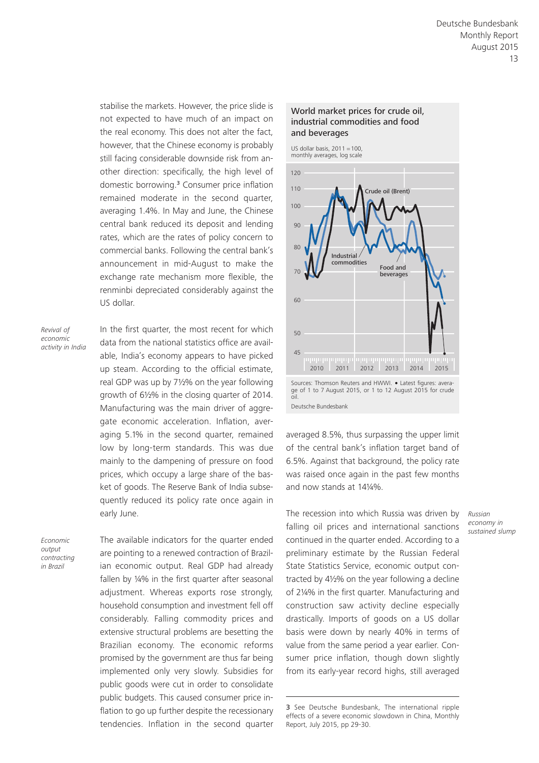stabilise the markets. However, the price slide is not expected to have much of an impact on the real economy. This does not alter the fact, however, that the Chinese economy is probably still facing considerable downside risk from another direction: specifically, the high level of domestic borrowing.3 Consumer price inflation remained moderate in the second quarter, averaging 1.4%. In May and June, the Chinese central bank reduced its deposit and lending rates, which are the rates of policy concern to commercial banks. Following the central bank's announcement in mid-August to make the exchange rate mechanism more flexible, the renminbi depreciated considerably against the US dollar.

*Revival of economic activity in India* In the first quarter, the most recent for which data from the national statistics office are available, India's economy appears to have picked up steam. According to the official estimate, real GDP was up by 7½% on the year following growth of 6½% in the closing quarter of 2014. Manufacturing was the main driver of aggregate economic acceleration. Inflation, averaging 5.1% in the second quarter, remained low by long-term standards. This was due mainly to the dampening of pressure on food prices, which occupy a large share of the basket of goods. The Reserve Bank of India subsequently reduced its policy rate once again in early June.

*Economic output contracting in Brazil*

The available indicators for the quarter ended are pointing to a renewed contraction of Brazilian economic output. Real GDP had already fallen by ¼% in the first quarter after seasonal adjustment. Whereas exports rose strongly, household consumption and investment fell off considerably. Falling commodity prices and extensive structural problems are besetting the Brazilian economy. The economic reforms promised by the government are thus far being implemented only very slowly. Subsidies for public goods were cut in order to consolidate public budgets. This caused consumer price inflation to go up further despite the recessionary tendencies. Inflation in the second quarter

#### World market prices for crude oil, industrial commodities and food and beverages



Sources: Thomson Reuters and HWWI. • Latest figures: avera-ge of 1 to 7 August 2015, or 1 to 12 August 2015 for crude oil. Deutsche Bundesbank

averaged 8.5%, thus surpassing the upper limit of the central bank's inflation target band of 6.5%. Against that background, the policy rate was raised once again in the past few months and now stands at 14¼%.

The recession into which Russia was driven by falling oil prices and international sanctions continued in the quarter ended. According to a preliminary estimate by the Russian Federal State Statistics Service, economic output contracted by 4½% on the year following a decline of 2¼% in the first quarter. Manufacturing and construction saw activity decline especially drastically. Imports of goods on a US dollar basis were down by nearly 40% in terms of value from the same period a year earlier. Consumer price inflation, though down slightly from its early-year record highs, still averaged

*Russian economy in sustained slump*

<sup>3</sup> See Deutsche Bundesbank, The international ripple effects of a severe economic slowdown in China, Monthly Report, July 2015, pp 29-30.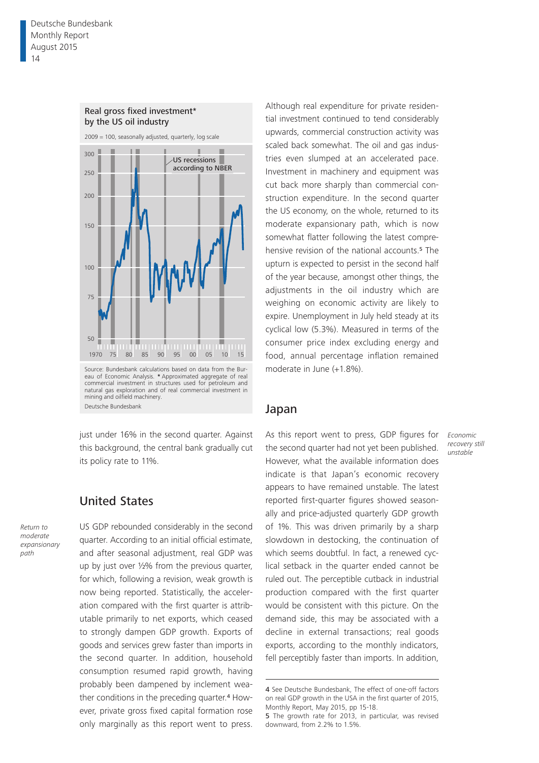

just under 16% in the second quarter. Against this background, the central bank gradually cut its policy rate to 11%.

## United States

*Return to moderate expansionary path*

US GDP rebounded considerably in the second quarter. According to an initial official estimate, and after seasonal adjustment, real GDP was up by just over ½% from the previous quarter, for which, following a revision, weak growth is now being reported. Statistically, the acceleration compared with the first quarter is attributable primarily to net exports, which ceased to strongly dampen GDP growth. Exports of goods and services grew faster than imports in the second quarter. In addition, household consumption resumed rapid growth, having probably been dampened by inclement weather conditions in the preceding quarter.<sup>4</sup> However, private gross fixed capital formation rose only marginally as this report went to press.

Although real expenditure for private residential investment continued to tend considerably upwards, commercial construction activity was scaled back somewhat. The oil and gas industries even slumped at an accelerated pace. Investment in machinery and equipment was cut back more sharply than commercial construction expenditure. In the second quarter the US economy, on the whole, returned to its moderate expansionary path, which is now somewhat flatter following the latest comprehensive revision of the national accounts.<sup>5</sup> The upturn is expected to persist in the second half of the year because, amongst other things, the adjustments in the oil industry which are weighing on economic activity are likely to expire. Unemployment in July held steady at its cyclical low (5.3%). Measured in terms of the consumer price index excluding energy and food, annual percentage inflation remained moderate in June (+1.8%).

### Japan

As this report went to press, GDP figures for the second quarter had not yet been published. However, what the available information does indicate is that Japan's economic recovery appears to have remained unstable. The latest reported first-quarter figures showed seasonally and price-adjusted quarterly GDP growth of 1%. This was driven primarily by a sharp slowdown in destocking, the continuation of which seems doubtful. In fact, a renewed cyclical setback in the quarter ended cannot be ruled out. The perceptible cutback in industrial production compared with the first quarter would be consistent with this picture. On the demand side, this may be associated with a decline in external transactions; real goods exports, according to the monthly indicators, fell perceptibly faster than imports. In addition,

*Economic recovery still unstable*

<sup>4</sup> See Deutsche Bundesbank, The effect of one-off factors on real GDP growth in the USA in the first quarter of 2015, Monthly Report, May 2015, pp 15-18.

<sup>5</sup> The growth rate for 2013, in particular, was revised downward, from 2.2% to 1.5%.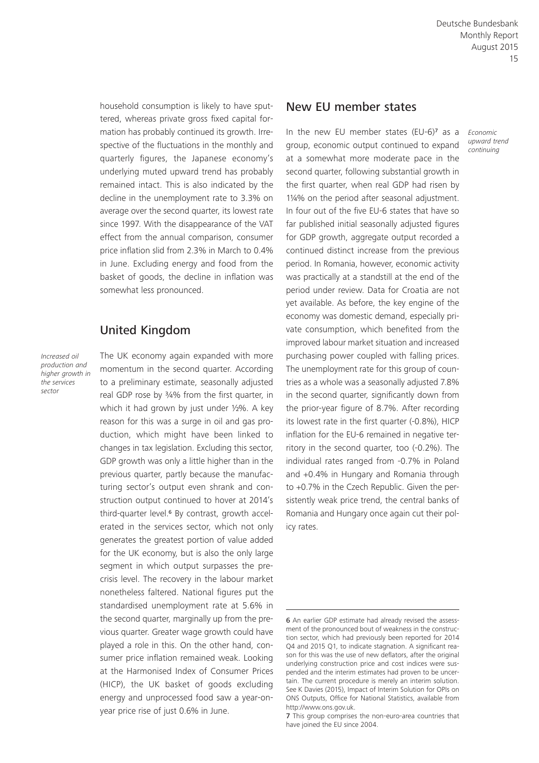household consumption is likely to have sputtered, whereas private gross fixed capital formation has probably continued its growth. Irrespective of the fluctuations in the monthly and quarterly figures, the Japanese economy's underlying muted upward trend has probably remained intact. This is also indicated by the decline in the unemployment rate to 3.3% on average over the second quarter, its lowest rate since 1997. With the disappearance of the VAT effect from the annual comparison, consumer price inflation slid from 2.3% in March to 0.4% in June. Excluding energy and food from the basket of goods, the decline in inflation was somewhat less pronounced.

## United Kingdom

*Increased oil production and higher growth in the services sector*

The UK economy again expanded with more momentum in the second quarter. According to a preliminary estimate, seasonally adjusted real GDP rose by 3/4% from the first quarter, in which it had grown by just under ½%. A key reason for this was a surge in oil and gas production, which might have been linked to changes in tax legislation. Excluding this sector, GDP growth was only a little higher than in the previous quarter, partly because the manufacturing sector's output even shrank and construction output continued to hover at 2014's third-quarter level.<sup>6</sup> By contrast, growth accelerated in the services sector, which not only generates the greatest portion of value added for the UK economy, but is also the only large segment in which output surpasses the precrisis level. The recovery in the labour market nonetheless faltered. National figures put the standardised unemployment rate at 5.6% in the second quarter, marginally up from the previous quarter. Greater wage growth could have played a role in this. On the other hand, consumer price inflation remained weak. Looking at the Harmonised Index of Consumer Prices (HICP), the UK basket of goods excluding energy and unprocessed food saw a year-onyear price rise of just 0.6% in June.

## New EU member states

In the new EU member states  $(EU-6)^7$  as a group, economic output continued to expand at a somewhat more moderate pace in the second quarter, following substantial growth in the first quarter, when real GDP had risen by 1¼% on the period after seasonal adjustment. In four out of the five EU-6 states that have so far published initial seasonally adjusted figures for GDP growth, aggregate output recorded a continued distinct increase from the previous period. In Romania, however, economic activity was practically at a standstill at the end of the period under review. Data for Croatia are not yet available. As before, the key engine of the economy was domestic demand, especially private consumption, which benefited from the improved labour market situation and increased purchasing power coupled with falling prices. The unemployment rate for this group of countries as a whole was a seasonally adjusted 7.8% in the second quarter, significantly down from the prior-year figure of 8.7%. After recording its lowest rate in the first quarter (-0.8%), HICP inflation for the EU-6 remained in negative territory in the second quarter, too (-0.2%). The individual rates ranged from -0.7% in Poland and +0.4% in Hungary and Romania through to +0.7% in the Czech Republic. Given the persistently weak price trend, the central banks of Romania and Hungary once again cut their policy rates.

*Economic upward trend continuing*

<sup>6</sup> An earlier GDP estimate had already revised the assessment of the pronounced bout of weakness in the construction sector, which had previously been reported for 2014 Q4 and 2015 Q1, to indicate stagnation. A significant reason for this was the use of new deflators, after the original underlying construction price and cost indices were suspended and the interim estimates had proven to be uncertain. The current procedure is merely an interim solution. See K Davies (2015), Impact of Interim Solution for OPIs on ONS Outputs, Office for National Statistics, available from [http://www.ons.gov.uk.](http://www.ons.gov.uk)

<sup>7</sup> This group comprises the non-euro-area countries that have joined the EU since 2004.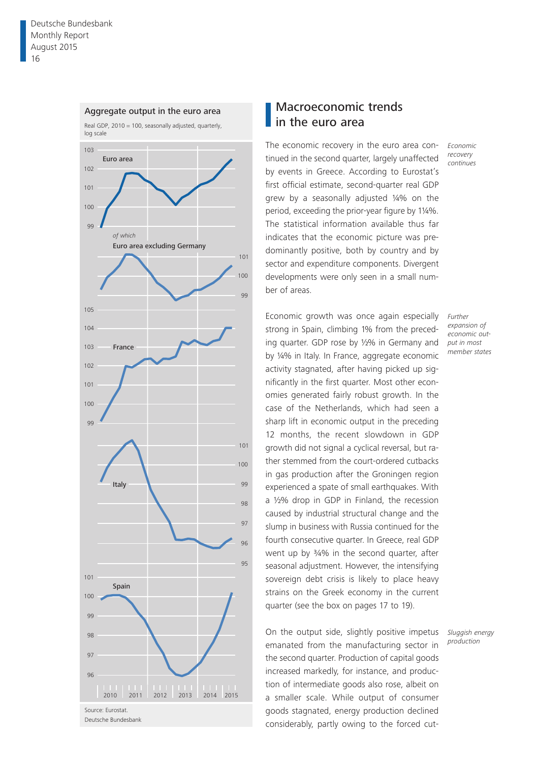

Deutsche Bundesbank

# Macroeconomic trends in the euro area

The economic recovery in the euro area continued in the second quarter, largely unaffected by events in Greece. According to Eurostat's first official estimate, second-quarter real GDP grew by a seasonally adjusted ¼% on the period, exceeding the prior-year figure by 1¼%. The statistical information available thus far indicates that the economic picture was predominantly positive, both by country and by sector and expenditure components. Divergent developments were only seen in a small number of areas.

Economic growth was once again especially strong in Spain, climbing 1% from the preceding quarter. GDP rose by ½% in Germany and by ¼% in Italy. In France, aggregate economic activity stagnated, after having picked up significantly in the first quarter. Most other economies generated fairly robust growth. In the case of the Netherlands, which had seen a sharp lift in economic output in the preceding 12 months, the recent slowdown in GDP growth did not signal a cyclical reversal, but rather stemmed from the court-ordered cutbacks in gas production after the Groningen region experienced a spate of small earthquakes. With a ½% drop in GDP in Finland, the recession caused by industrial structural change and the slump in business with Russia continued for the fourth consecutive quarter. In Greece, real GDP went up by ¾% in the second quarter, after seasonal adjustment. However, the intensifying sovereign debt crisis is likely to place heavy strains on the Greek economy in the current quarter (see the box on pages 17 to 19).

On the output side, slightly positive impetus emanated from the manufacturing sector in the second quarter. Production of capital goods increased markedly, for instance, and production of intermediate goods also rose, albeit on a smaller scale. While output of consumer goods stagnated, energy production declined considerably, partly owing to the forced cut*Economic recovery continues*

*Further expansion of economic output in most member states*

*Sluggish energy production*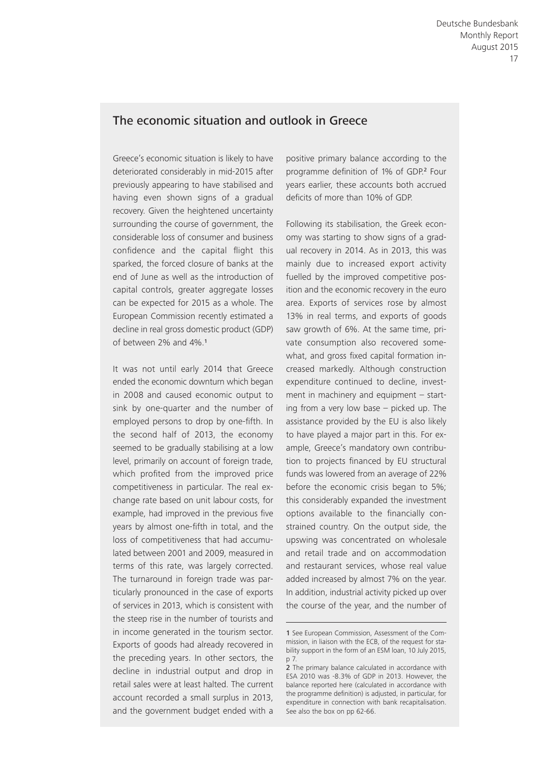## The economic situation and outlook in Greece

Greece's economic situation is likely to have deteriorated considerably in mid-2015 after previously appearing to have stabilised and having even shown signs of a gradual recovery. Given the heightened uncertainty surrounding the course of government, the considerable loss of consumer and business confidence and the capital flight this sparked, the forced closure of banks at the end of June as well as the introduction of capital controls, greater aggregate losses can be expected for 2015 as a whole. The European Commission recently estimated a decline in real gross domestic product (GDP) of between 2% and 4%.<sup>1</sup>

It was not until early 2014 that Greece ended the economic downturn which began in 2008 and caused economic output to sink by one-quarter and the number of employed persons to drop by one-fifth. In the second half of 2013, the economy seemed to be gradually stabilising at a low level, primarily on account of foreign trade, which profited from the improved price competitiveness in particular. The real exchange rate based on unit labour costs, for example, had improved in the previous five years by almost one-fifth in total, and the loss of competitiveness that had accumulated between 2001 and 2009, measured in terms of this rate, was largely corrected. The turnaround in foreign trade was particularly pronounced in the case of exports of services in 2013, which is consistent with the steep rise in the number of tourists and in income generated in the tourism sector. Exports of goods had already recovered in the preceding years. In other sectors, the decline in industrial output and drop in retail sales were at least halted. The current account recorded a small surplus in 2013, and the government budget ended with a

positive primary balance according to the programme definition of 1% of GDP.<sup>2</sup> Four years earlier, these accounts both accrued deficits of more than 10% of GDP.

Following its stabilisation, the Greek economy was starting to show signs of a gradual recovery in 2014. As in 2013, this was mainly due to increased export activity fuelled by the improved competitive position and the economic recovery in the euro area. Exports of services rose by almost 13% in real terms, and exports of goods saw growth of 6%. At the same time, private consumption also recovered somewhat, and gross fixed capital formation increased markedly. Although construction expenditure continued to decline, investment in machinery and equipment – starting from a very low base – picked up. The assistance provided by the EU is also likely to have played a major part in this. For example, Greece's mandatory own contribution to projects financed by EU structural funds was lowered from an average of 22% before the economic crisis began to 5%; this considerably expanded the investment options available to the financially constrained country. On the output side, the upswing was concentrated on wholesale and retail trade and on accommodation and restaurant services, whose real value added increased by almost 7% on the year. In addition, industrial activity picked up over the course of the year, and the number of

<sup>1</sup> See European Commission, Assessment of the Commission, in liaison with the ECB, of the request for stability support in the form of an ESM loan, 10 July 2015, p 7.

<sup>2</sup> The primary balance calculated in accordance with ESA 2010 was -8.3% of GDP in 2013. However, the balance reported here (calculated in accordance with the programme definition) is adjusted, in particular, for expenditure in connection with bank recapitalisation. See also the box on pp 62-66.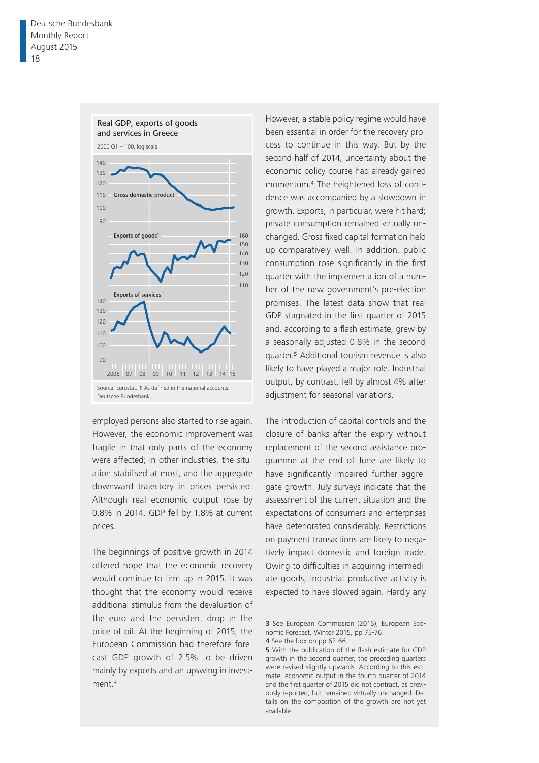

employed persons also started to rise again. However, the economic improvement was fragile in that only parts of the economy were affected; in other industries, the situation stabilised at most, and the aggregate downward trajectory in prices persisted. Although real economic output rose by 0.8% in 2014, GDP fell by 1.8% at current prices.

The beginnings of positive growth in 2014 offered hope that the economic recovery would continue to firm up in 2015. It was thought that the economy would receive additional stimulus from the devaluation of the euro and the persistent drop in the price of oil. At the beginning of 2015, the European Commission had therefore forecast GDP growth of 2.5% to be driven mainly by exports and an upswing in investment.<sup>3</sup>

However, a stable policy regime would have been essential in order for the recovery process to continue in this way. But by the second half of 2014, uncertainty about the economic policy course had already gained momentum.<sup>4</sup> The heightened loss of confidence was accompanied by a slowdown in growth. Exports, in particular, were hit hard; private consumption remained virtually unchanged. Gross fixed capital formation held up comparatively well. In addition, public consumption rose significantly in the first quarter with the implementation of a number of the new government's pre-election promises. The latest data show that real GDP stagnated in the first quarter of 2015 and, according to a flash estimate, grew by a seasonally adjusted 0.8% in the second quarter.5 Additional tourism revenue is also likely to have played a major role. Industrial output, by contrast, fell by almost 4% after adjustment for seasonal variations.

The introduction of capital controls and the closure of banks after the expiry without replacement of the second assistance programme at the end of June are likely to have significantly impaired further aggregate growth. July surveys indicate that the assessment of the current situation and the expectations of consumers and enterprises have deteriorated considerably. Restrictions on payment transactions are likely to negatively impact domestic and foreign trade. Owing to difficulties in acquiring intermediate goods, industrial productive activity is expected to have slowed again. Hardly any

<sup>3</sup> See European Commission (2015), European Economic Forecast, Winter 2015, pp 75-76.

<sup>4</sup> See the box on pp 62-66.

<sup>5</sup> With the publication of the flash estimate for GDP growth in the second quarter, the preceding quarters were revised slightly upwards. According to this estimate, economic output in the fourth quarter of 2014 and the first quarter of 2015 did not contract, as previously reported, but remained virtually unchanged. Details on the composition of the growth are not yet available.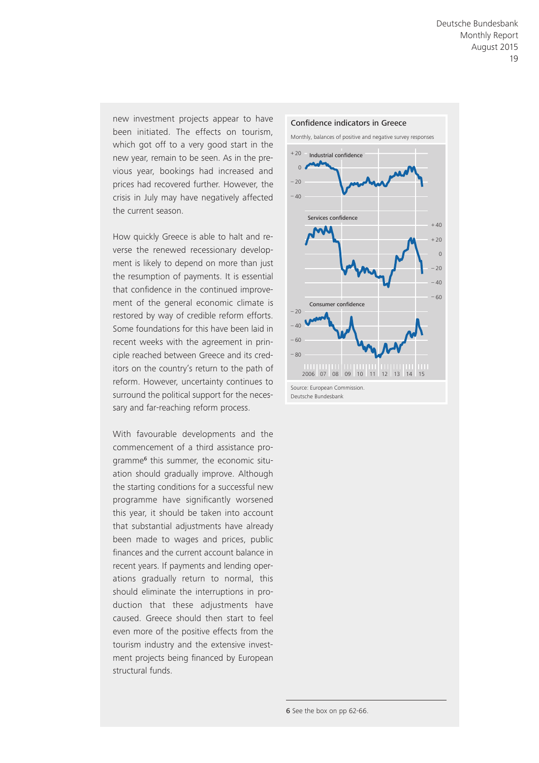new investment projects appear to have been initiated. The effects on tourism, which got off to a very good start in the new year, remain to be seen. As in the previous year, bookings had increased and prices had recovered further. However, the crisis in July may have negatively affected the current season.

How quickly Greece is able to halt and reverse the renewed recessionary development is likely to depend on more than just the resumption of payments. It is essential that confidence in the continued improvement of the general economic climate is restored by way of credible reform efforts. Some foundations for this have been laid in recent weeks with the agreement in principle reached between Greece and its creditors on the country's return to the path of reform. However, uncertainty continues to surround the political support for the necessary and far-reaching reform process.

With favourable developments and the commencement of a third assistance programme6 this summer, the economic situation should gradually improve. Although the starting conditions for a successful new programme have significantly worsened this year, it should be taken into account that substantial adjustments have already been made to wages and prices, public finances and the current account balance in recent years. If payments and lending operations gradually return to normal, this should eliminate the interruptions in production that these adjustments have caused. Greece should then start to feel even more of the positive effects from the tourism industry and the extensive investment projects being financed by European structural funds.



Deutsche Bundesbank

6 See the box on pp 62-66.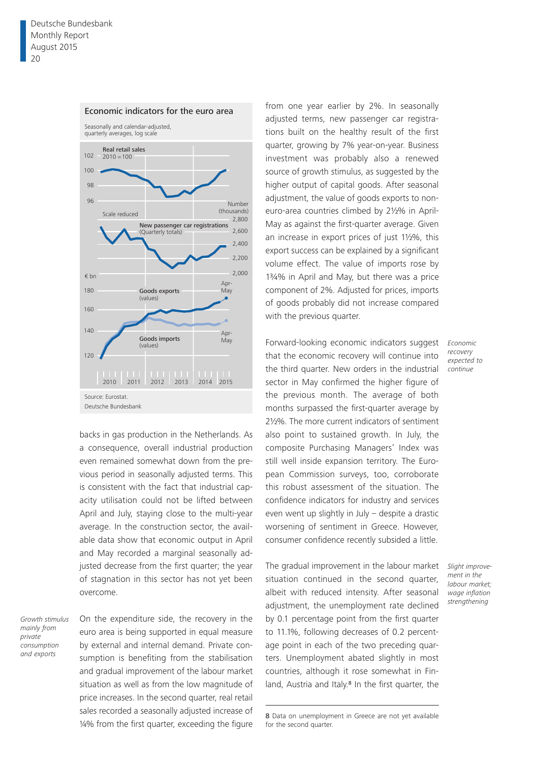

backs in gas production in the Netherlands. As a consequence, overall industrial production even remained somewhat down from the previous period in seasonally adjusted terms. This is consistent with the fact that industrial capacity utilisation could not be lifted between April and July, staying close to the multi-year average. In the construction sector, the available data show that economic output in April and May recorded a marginal seasonally adjusted decrease from the first quarter; the year of stagnation in this sector has not yet been overcome.

*Growth stimulus mainly from private consumption and exports*

On the expenditure side, the recovery in the euro area is being supported in equal measure by external and internal demand. Private consumption is benefiting from the stabilisation and gradual improvement of the labour market situation as well as from the low magnitude of price increases. In the second quarter, real retail sales recorded a seasonally adjusted increase of ¼% from the first quarter, exceeding the figure

from one year earlier by 2%. In seasonally adjusted terms, new passenger car registrations built on the healthy result of the first quarter, growing by 7% year-on-year. Business investment was probably also a renewed source of growth stimulus, as suggested by the higher output of capital goods. After seasonal adjustment, the value of goods exports to noneuro-area countries climbed by 2½% in April-May as against the first-quarter average. Given an increase in export prices of just 1½%, this export success can be explained by a significant volume effect. The value of imports rose by 1¾% in April and May, but there was a price component of 2%. Adjusted for prices, imports of goods probably did not increase compared with the previous quarter.

Forward-looking economic indicators suggest that the economic recovery will continue into the third quarter. New orders in the industrial sector in May confirmed the higher figure of the previous month. The average of both months surpassed the first-quarter average by 2½%. The more current indicators of sentiment also point to sustained growth. In July, the composite Purchasing Managers' Index was still well inside expansion territory. The European Commission surveys, too, corroborate this robust assessment of the situation. The confidence indicators for industry and services even went up slightly in July – despite a drastic worsening of sentiment in Greece. However, consumer confidence recently subsided a little.

The gradual improvement in the labour market situation continued in the second quarter, albeit with reduced intensity. After seasonal adjustment, the unemployment rate declined by 0.1 percentage point from the first quarter to 11.1%, following decreases of 0.2 percentage point in each of the two preceding quarters. Unemployment abated slightly in most countries, although it rose somewhat in Finland, Austria and Italy.<sup>8</sup> In the first quarter, the

*Economic recovery expected to continue*

*Slight improvement in the labour market; wage inflation strengthening*

<sup>8</sup> Data on unemployment in Greece are not yet available for the second quarter.